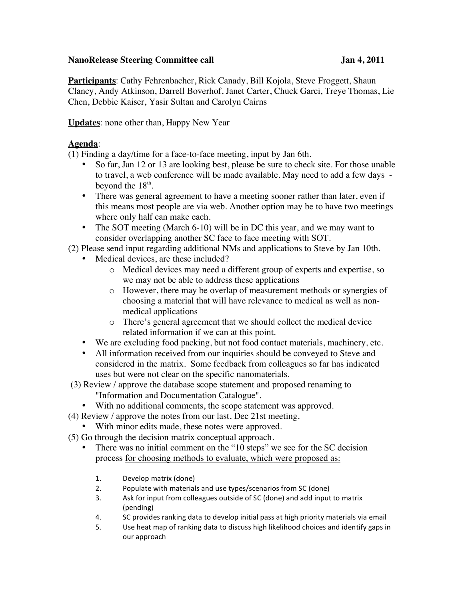## **NanoRelease Steering Committee call Jan 4, 2011**

**Participants**: Cathy Fehrenbacher, Rick Canady, Bill Kojola, Steve Froggett, Shaun Clancy, Andy Atkinson, Darrell Boverhof, Janet Carter, Chuck Garci, Treye Thomas, Lie Chen, Debbie Kaiser, Yasir Sultan and Carolyn Cairns

## **Updates**: none other than, Happy New Year

## **Agenda**:

(1) Finding a day/time for a face-to-face meeting, input by Jan 6th.

- So far, Jan 12 or 13 are looking best, please be sure to check site. For those unable to travel, a web conference will be made available. May need to add a few days beyond the  $18<sup>th</sup>$ .
- There was general agreement to have a meeting sooner rather than later, even if this means most people are via web. Another option may be to have two meetings where only half can make each.
- The SOT meeting (March 6-10) will be in DC this year, and we may want to consider overlapping another SC face to face meeting with SOT.
- (2) Please send input regarding additional NMs and applications to Steve by Jan 10th.
	- Medical devices, are these included?
		- o Medical devices may need a different group of experts and expertise, so we may not be able to address these applications
		- o However, there may be overlap of measurement methods or synergies of choosing a material that will have relevance to medical as well as nonmedical applications
		- o There's general agreement that we should collect the medical device related information if we can at this point.
	- We are excluding food packing, but not food contact materials, machinery, etc.
	- All information received from our inquiries should be conveyed to Steve and considered in the matrix. Some feedback from colleagues so far has indicated uses but were not clear on the specific nanomaterials.
- (3) Review / approve the database scope statement and proposed renaming to "Information and Documentation Catalogue".
	- With no additional comments, the scope statement was approved.
- (4) Review / approve the notes from our last, Dec 21st meeting.
	- With minor edits made, these notes were approved.
- (5) Go through the decision matrix conceptual approach.
	- There was no initial comment on the "10 steps" we see for the SC decision process for choosing methods to evaluate, which were proposed as:
		- 1. Develop matrix (done)
		- 2. Populate with materials and use types/scenarios from SC (done)
		- 3. Ask for input from colleagues outside of SC (done) and add input to matrix (pending)
		- 4. SC provides ranking data to develop initial pass at high priority materials via email
		- 5. Use heat map of ranking data to discuss high likelihood choices and identify gaps in our approach